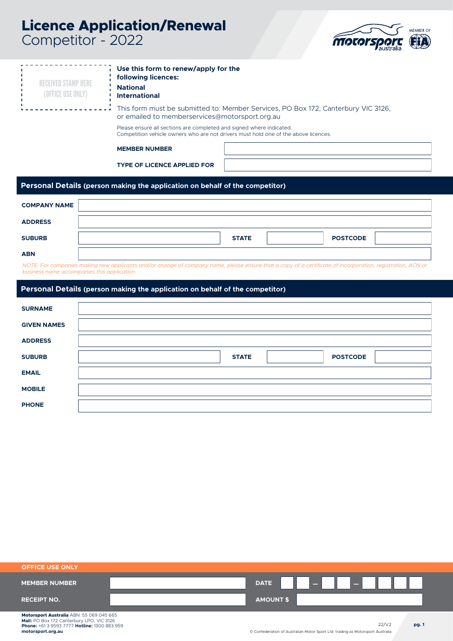# **Licence Application/Renewal** Competitor - 2022



| <b>RECEIVED STAMP HERE</b><br>(OFFICE USE ONLY) | Use this form to renew/apply for the<br>following licences:<br><b>National</b><br><b>International</b>                                                      |              |                 |
|-------------------------------------------------|-------------------------------------------------------------------------------------------------------------------------------------------------------------|--------------|-----------------|
|                                                 | This form must be submitted to: Member Services, PO Box 172, Canterbury VIC 3126,<br>or emailed to memberservices@motorsport.org.au                         |              |                 |
|                                                 | Please ensure all sections are completed and signed where indicated.<br>Competition vehicle owners who are not drivers must hold one of the above licences. |              |                 |
|                                                 | <b>MEMBER NUMBER</b>                                                                                                                                        |              |                 |
|                                                 | <b>TYPE OF LICENCE APPLIED FOR</b>                                                                                                                          |              |                 |
|                                                 | Personal Details (person making the application on behalf of the competitor)                                                                                |              |                 |
| <b>COMPANY NAME</b>                             |                                                                                                                                                             |              |                 |
| <b>ADDRESS</b>                                  |                                                                                                                                                             |              |                 |
| <b>SUBURB</b>                                   |                                                                                                                                                             | <b>STATE</b> | <b>POSTCODE</b> |
| <b>ABN</b>                                      |                                                                                                                                                             |              |                 |
| business name accompanies this application.     | NOTE: For companies making new applicants and/or change of company name, please ensure that a copy of a certificate of incorporation, registration, ACN or  |              |                 |
|                                                 | Benedikte Bestelle von den dem Bestellung der Bestellung der Bestellung der Bestellung der Bestellung der Best                                              |              |                 |

# **Personal Details (person making the application on behalf of the competitor)**

| <b>SURNAME</b>     |                                 |
|--------------------|---------------------------------|
| <b>GIVEN NAMES</b> |                                 |
| <b>ADDRESS</b>     |                                 |
| <b>SUBURB</b>      | <b>POSTCODE</b><br><b>STATE</b> |
| <b>EMAIL</b>       |                                 |
| <b>MOBILE</b>      |                                 |
| <b>PHONE</b>       |                                 |

| <b>OFFICE USE ONLY</b>                   |                  |  |  |
|------------------------------------------|------------------|--|--|
| <b>MEMBER NUMBER</b>                     | <b>DATE</b>      |  |  |
| <b>RECEIPT NO.</b>                       | <b>AMOUNT \$</b> |  |  |
| Motorsport Australia ARN: 55 069 045 665 |                  |  |  |

22/V2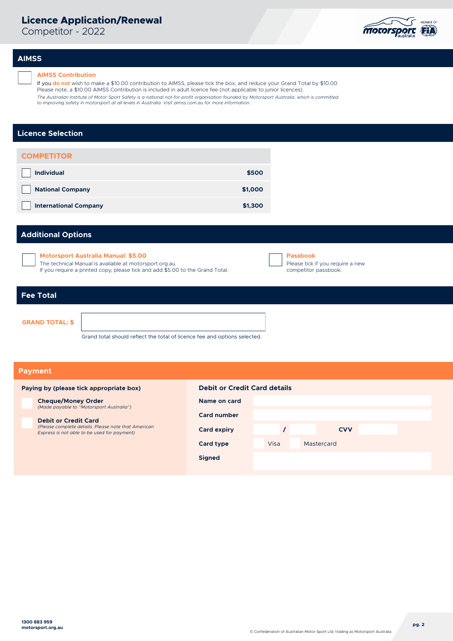# **Licence Application/Renewal**

Competitor - 2022



# **AIMSS**

# **AIMSS Contribution**

If you **do not** wish to make a \$10.00 contribution to AIMSS, please tick the box, and reduce your Grand Total by \$10.00 Please note, a \$10.00 AIMSS Contribution is included in adult licence fee (not applicable to junior licences). The Australian Institute of Motor Sport Safety is a national not-for-profit organisation founded by Motorsport Australia, which is committed<br>to improving safety in motorsport at all levels in Australia. Visit aimss.com.au

# **Licence Selection**

| <b>COMPETITOR</b>            |         |
|------------------------------|---------|
| <b>Individual</b>            | \$500   |
| <b>National Company</b>      | \$1,000 |
| <b>International Company</b> | \$1,300 |

# **Additional Options**

**Motorsport Australia Manual: \$5.00**

The technical Manual is available at motorsport.org.au.

If you require a printed copy, please tick and add \$5.00 to the Grand Total.

| l Passbook                       |
|----------------------------------|
| Please tick if you require a new |
| competitor passbook.             |

# **Fee Total**

**GRAND TOTAL: \$**

Grand total should reflect the total of licence fee and options selected.

# **Payment**

# **Paying by (please tick appropriate box) Debit or Credit Card details**

**Cheque/Money Order** *(Made payable to "Motorsport Australia")*

**Debit or Credit Card** *(Please complete details. Please note that American Express is not able to be used for payment)*

| Name on card       |      |            |  |
|--------------------|------|------------|--|
| <b>Card number</b> |      |            |  |
| <b>Card expiry</b> |      | <b>CVV</b> |  |
| <b>Card type</b>   | Visa | Mastercard |  |
| <b>Signed</b>      |      |            |  |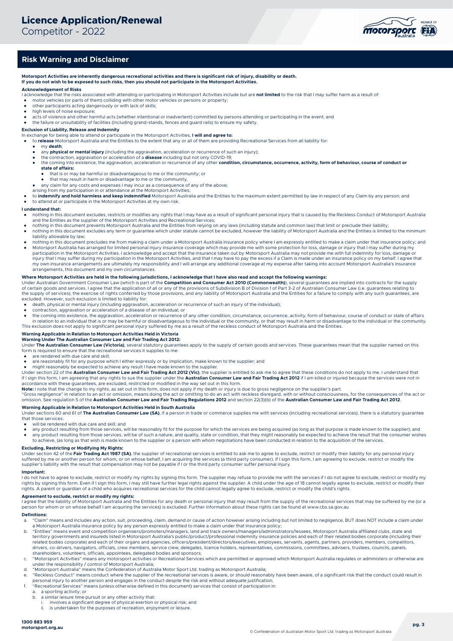Competitor - 2022



# **Risk Warning and Disclaimer**

**Motorsport Activities are inherently dangerous recreational activities and there is significant risk of injury, disability or death. If you do not wish to be exposed to such risks, then you should not participate in the Motorsport Activities.**

## **Acknowledgement of Risks**

- I acknowledge that the risks associated with attending or participating in Motorsport Activities include but are **not limited** to the risk that I may suffer harm as a result of:
- motor vehicles (or parts of them) colliding with other motor vehicles or persons or property;
- other participants acting dangerously or with lack of skills; high levels of noise exposure;
- 
- acts of violence and other harmful acts (whether intentional or inadvertent) committed by persons attending or participating in the event; and and the failure or unsuitability of facilities (including grand-stands, fences

**Exclusion of Liability, Release and Indemnity** In exchange for being able to attend or participate in the Motorsport Activities, **I will and agree to:** 

- to **release** Motorsport Australia and the Entities to the extent that any or all of them are providing Recreational Services from all liability for:
	- my **death**;
	- any **physical or mental injury** (including the aggravation, acceleration or recurrence of such an injury);
	- the contraction, aggravation or acceleration of a **disease** including but not only COVID-19;<br>• the coming into existence, the aggravation, acceleration or recurrence of any other **condition, circumstance, occurrence, act state of affairs:**
		- that is or may be harmful or disadvantageous to me or the community; or
		- that he or may be harmlar or disadvantage to me or the community,
- any claim for any costs and expenses I may incur as a consequence of any of the above; arising from my participation in or attendance at the Motorsport Activities;
- 

to indemnify and hold harmless and keep indemnified Motorsport Australia and the Entities to the maximum extent permitted by law in respect of any Claim by any person; and to attend at or participate in the Motorsport Activities at my own risk.

#### **I understand that:**

- nothing in this document excludes, restricts or modifies any rights that I may have as a result of significant personal injury that is caused by the Reckless Conduct of Motorsport Australia and the Entities as the supplier
- nothing in this document prevents Motorsport Australia and the Entities from relying on any laws (including statute and common law) that limit or preclude their liability; nothing in this document excludes any term or quarantee which under statute cannot be excluded, however the liability of Motorsport Australia and the Entities is limited to the minimum nothinum provided to the minimum mate liability allowable by law;
- nothing in this document precludes me from making a claim under a Motorsport Australia insurance policy where I am expressly entitled to make a claim under that insurance policy; and
- Motorsport Australia has arranged for limited personal injury insurance coverage which may provide me with some protection for loss, damage or injury that I may suffer during my participation in the Motorsport Activities. I acknowledge and accept that the insurance taken out by Motorsport Australia may not provide me with full indemnity for loss, damage or<br>injury that I may suffer during my partic my own insurance arrangements are ultimately my responsibility and I will arrange any additional coverage at my expense after taking into account Motorsport Australia's insurance arrangements, this document and my own circumstances.

#### **Where Motorsport Activities are held in the following jurisdictions, I acknowledge that I have also read and accept the following warnings:**

Under Australian Government Consumer Law (which is part of the **Competition and Consumer Act 2010 (Commonwealth)**), several guarantees are implied into contracts for the supply of certain goods and services. I agree that the application of all or any of the provisions of Subdivision B of Division 1 of Part 3-2 of Australian Consumer Law (i.e. guarantees relating to the supply of services), the exercise of rights conferred by those provisions, and any liability of Motorsport Australia and the Entities for a failure to comply with any such guarantees, are<br>excluded. However, such exclus

- 
- death, physical or mental injury (including aggravation, acceleration or recurrence of such an injury of the individual); contraction, aggravation or acceleration of a disease of an individual; or
- the coming into existence, the aggravation, acceleration or recurrence of any other condition, circumstance, occurrence, activity, form of behaviour, course of conduct or state of affairs<br>in relation to an individual that This exclusion does not apply to significant personal injury suffered by me as a result of the reckless conduct of Motorsport Australia and the Entities.

#### **Warning Applicable in Relation to Motorsport Activities Held in Victoria**

**Warning Under The Australian Consumer Law and Fair Trading Act 2012:** 

Under The Australian Consumer Law (Victoria), several statutory guarantees apply to the supply of certain goods and services. These guarantees mean that the supplier named on this form is required to ensure that the recreational services it supplies to me

- are rendered with due care and skill;
- are reasonably fit for any purpose which I either expressly or by implication, make known to the supplier; and

● might reasonably be expected to achieve any result I have made known to the supplier.<br>Under section 22 of the **Australian Consumer Law and Fair Trading Act 2012 (Vic)**, the supplier is entitled to ask me to agree that t if I sign this form, I am agreeing that any rights to sue the supplier under the **Australian Consumer Law and Fair Trading Act 2012** if I am killed or injured because the services were not in

accordance with these guarantees, are excluded, restricted or modified in the way set out in this form.<br>**Note:** I note that the change to my rights, as set out in this form, does not apply if my death or injury is due to g

"Gross negligence" in relation to an act or omission, means doing the act or omitting to do an act with reckless disregard, with or without consciousness, for the consequences of the act or<br>omission. See regulation 5 of th

**Warning Applicable in Relation to Motorsport Activities Held in South Australia**<br>Under sections 60 and 61 of **The Australian Consumer Law (SA)**, if a person in trade or commerce supplies me with services (including recrea that those services:

will be rendered with due care and skill; and

- any product resulting from those services, will be reasonably fit for the purpose for which the services are being acquired (as long as that purpose is made known to the supplier); and<br>● any product resulting from those any product resulting from those services, will be of such a nature, and quality, state or condition, that they might reasonably be expected to achieve the result that the consumer wishes
- to achieve, (as long as that wish is made known to the supplier or a person with whom negotiations have been conducted in relation to the acquisition of the services.

### **Excluding, Restricting or Modifying My Rights:**

Under section 42 of the **Fair Trading Act 1987 (SA)**, the supplier of recreational services is entitled to ask me to agree to exclude, restrict or modify their liability for any personal injury<br>suffered by me or another pe supplier's liability with the result that compensation may not be payable if I or the third party consumer suffer personal injury.

#### **Important:**

I do not have to agree to exclude, restrict or modify my rights by signing this form. The supplier may refuse to provide me with the services if I do not agree to exclude, restrict or modify my<br>rights by signing this form. rights. A parent or guardian of a child who acquires recreational services for the child cannot legally agree to exclude, restrict or modify the child's rights.

## **Agreement to exclude, restrict or modify my rights:**

I agree that the liability of Motorsport Australia and the Entities for any death or personal injury that may result from the supply of the recreational services that may be suffered by me (or a<br>person for whom or on whose

# **Definitions:**

- a. "Claim" means and includes any action, suit, proceeding, claim, demand or cause of action however arising including but not limited to negligence, BUT does NOT include a claim under a Motorsport Australia insurance policy by any person expressly entitled to make a claim under that insurance policy;
- b. "Entities" means event and competition organisers/promoters/managers, land and track owners/managers/administrators/lessees, Motorsport Australia affiliated clubs, state and<br>territory governments and insureds listed in related bodies corporate) and each of their organs and agencies, officers/president/directors/executives, employees, servants, agents, partners, providers, members, competitors, drivers, co-drivers, navigators, officials, crew members, service crew, delegates, licence holders, representatives, commissions, committees, advisers, trustees, councils, panels,<br>shareholders, volunteers, officials, appoi
- c. "Motorsport Activities" means any motorsport activities or Recreational Services which are permitted or approved which Motorsport Australia regulates or administers or otherwise are<br>under the responsibility / control of
- d. "Motorsport Australia" means the Confederation of Australia Motor Sport Ltd. trading as Motorsport Australia;
- e. "Reckless Conduct" means conduct where the supplier of the recreational services is aware, or should reasonably have been aware, of a significant risk that the conduct could result in personal injury to another person and engages in the conduct despite the risk and without adequate justification;
- f. "Recreational Services" means (unless otherwise defined in this document) services that consist of participation in:
	- a. a sporting activity; or<br>b. a similar leisure time r
		- a similar leisure time pursuit or any other activity that:
		- i. involves a significant degree of physical exertion or physical risk; and<br>i. is undertaken for the purposes of recreation opieves at leisure
		- is undertaken for the purposes of recreation, enjoyment or leisure